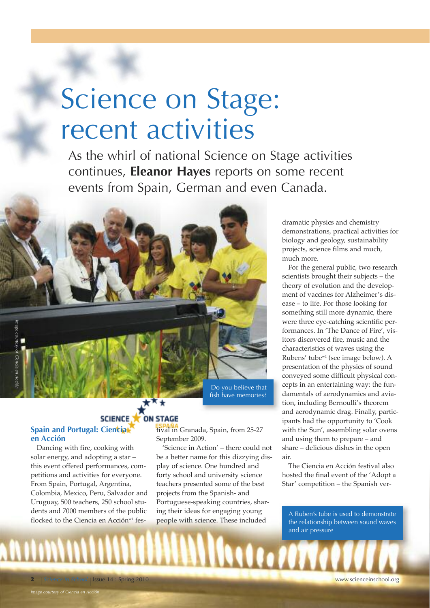# Science on Stage: recent activities

As the whirl of national Science on Stage activities continues, **Eleanor Hayes** reports on some recent events from Spain, German and even Canada.

Do you believe that fish have memories?

## SCIENCE **X** ON STAGE

### **Spain and Portugal: Ciencia en Acción**

*Image*

*courtesy of Ciencia*

*Acción*

Dancing with fire, cooking with solar energy, and adopting a star – this event offered performances, competitions and activities for everyone. From Spain, Portugal, Argentina, Colombia, Mexico, Peru, Salvador and Uruguay, 500 teachers, 250 school students and 7000 members of the public flocked to the Ciencia en Acción<sup>w1</sup> fes-

*Image courtesy of Ciencia en Acción*

tival in Granada, Spain, from 25-27 September 2009.

'Science in Action' – there could not be a better name for this dizzying display of science. One hundred and forty school and university science teachers presented some of the best projects from the Spanish- and Portuguese-speaking countries, sharing their ideas for engaging young people with science. These included

dramatic physics and chemistry demonstrations, practical activities for biology and geology, sustainability projects, science films and much, much more.

For the general public, two research scientists brought their subjects – the theory of evolution and the development of vaccines for Alzheimer's disease – to life. For those looking for something still more dynamic, there were three eye-catching scientific performances. In 'The Dance of Fire', visitors discovered fire, music and the characteristics of waves using the Rubens' tubew2 (see image below). A presentation of the physics of sound conveyed some difficult physical concepts in an entertaining way: the fundamentals of aerodynamics and aviation, including Bernoulli's theorem and aerodynamic drag. Finally, participants had the opportunity to 'Cook with the Sun', assembling solar ovens and using them to prepare – and share – delicious dishes in the open air.

The Ciencia en Acción festival also hosted the final event of the 'Adopt a Star' competition – the Spanish ver-

A Ruben's tube is used to demonstrate the relationship between sound waves and air pressure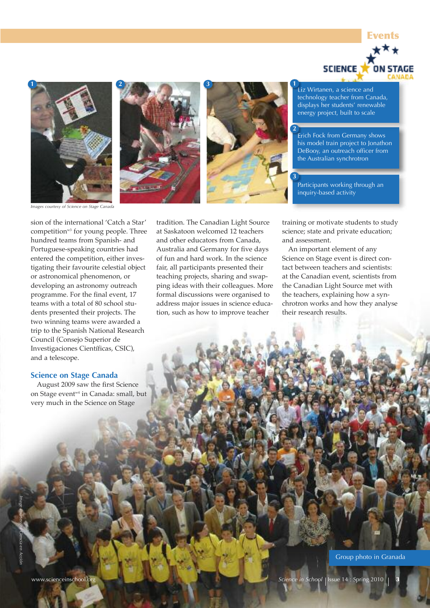







**2**

**3**

Liz Wirtanen, a science and technology teacher from Canada, displays her students' renewable energy project, built to scale

Erich Fock from Germany shows his model train project to Jonathon DeBooy, an outreach officer from the Australian synchrotron

Participants working through an inquiry-based activity

*Images courtesy of Science on Stage Canada*

sion of the international 'Catch a Star' competition<sup>w3</sup> for young people. Three hundred teams from Spanish- and Portuguese-speaking countries had entered the competition, either investigating their favourite celestial object or astronomical phenomenon, or developing an astronomy outreach programme. For the final event, 17 teams with a total of 80 school students presented their projects. The two winning teams were awarded a trip to the Spanish National Research Council (Consejo Superior de Investigaciones Científicas, CSIC), and a telescope.

#### **Science on Stage Canada**

*Image*

*courtesy of Ciencia en Acción*

August 2009 saw the first Science on Stage event w4 in Canada: small, but very much in the Science on Stage

tradition. The Canadian Light Source at Saskatoon welcomed 12 teachers and other educators from Canada, Australia and Germany for five days of fun and hard work. In the science fair, all participants presented their teaching projects, sharing and swapping ideas with their colleagues. More formal discussions were organised to address major issues in science education, such as how to improve teacher

training or motivate students to study science; state and private education; and assessment.

An important element of any Science on Stage event is direct contact between teachers and scientists: at the Canadian event, scientists from the Canadian Light Source met with the teachers, explaining how a synchrotron works and how they analyse their research results.

Group photo in Granada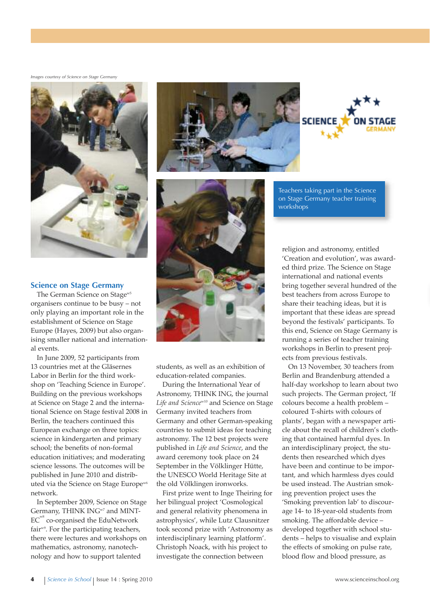*Images courtesy of Science on Stage Germany*



#### **Science on Stage Germany**

The German Science on Stage<sup>w5</sup> organisers continue to be busy – not only playing an important role in the establishment of Science on Stage Europe (Hayes, 2009) but also organising smaller national and international events.

In June 2009, 52 participants from 13 countries met at the Gläsernes Labor in Berlin for the third workshop on 'Teaching Science in Europe'. Building on the previous workshops at Science on Stage 2 and the international Science on Stage festival 2008 in Berlin, the teachers continued this European exchange on three topics: science in kindergarten and primary school; the benefits of non-formal education initiatives; and moderating science lessons. The outcomes will be published in June 2010 and distributed via the Science on Stage Europe<sup>w6</sup> network.

In September 2009, Science on Stage Germany, THINK ING<sup>w7</sup> and MINT-EC<sup>w8</sup> co-organised the EduNetwork fair<sup>w9</sup>. For the participating teachers, there were lectures and workshops on mathematics, astronomy, nanotechnology and how to support talented





Teachers taking part in the Science on Stage Germany teacher training workshops

religion and astronomy, entitled 'Creation and evolution', was awarded third prize. The Science on Stage international and national events bring together several hundred of the best teachers from across Europe to share their teaching ideas, but it is important that these ideas are spread beyond the festivals' participants. To this end, Science on Stage Germany is running a series of teacher training workshops in Berlin to present projects from previous festivals.

On 13 November, 30 teachers from Berlin and Brandenburg attended a half-day workshop to learn about two such projects. The German project, 'If colours become a health problem – coloured T-shirts with colours of plants', began with a newspaper article about the recall of children's clothing that contained harmful dyes. In an interdisciplinary project, the students then researched which dyes have been and continue to be important, and which harmless dyes could be used instead. The Austrian smoking prevention project uses the 'Smoking prevention lab' to discourage 14- to 18-year-old students from smoking. The affordable device – developed together with school students – helps to visualise and explain the effects of smoking on pulse rate, blood flow and blood pressure, as



students, as well as an exhibition of education-related companies.

During the International Year of Astronomy, THINK ING, the journal *Life and Science*w10 and Science on Stage Germany invited teachers from Germany and other German-speaking countries to submit ideas for teaching astronomy. The 12 best projects were published in *Life and Science*, and the award ceremony took place on 24 September in the Völklinger Hütte, the UNESCO World Heritage Site at the old Völklingen ironworks.

First prize went to Inge Theiring for her bilingual project 'Cosmological and general relativity phenomena in astrophysics', while Lutz Clausnitzer took second prize with 'Astronomy as interdisciplinary learning platform'. Christoph Noack, with his project to investigate the connection between